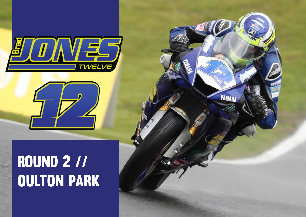



## ROUND 2 // **OULTON PARK**

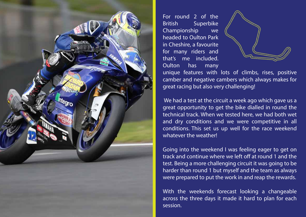

For round 2 of the British Superbike Championship we headed to Oulton Park in Cheshire, a favourite for many riders and that's me included. Oulton has many



unique features with lots of climbs, rises, positive camber and negative cambers which always makes for great racing but also very challenging!

We had a test at the circuit a week ago which gave us a great opportunity to get the bike dialled in round the technical track. When we tested here, we had both wet and dry conditions and we were competitive in all conditions. This set us up well for the race weekend whatever the weather!

Going into the weekend I was feeling eager to get on track and continue where we left off at round 1 and the test. Being a more challenging circuit it was going to be harder than round 1 but myself and the team as always were prepared to put the work in and reap the rewards.

With the weekends forecast looking a changeable across the three days it made it hard to plan for each session.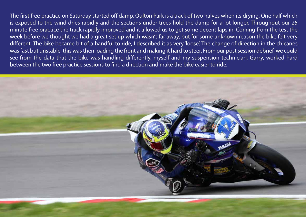The first free practice on Saturday started off damp, Oulton Park is a track of two halves when its drying. One half which is exposed to the wind dries rapidly and the sections under trees hold the damp for a lot longer. Throughout our 25 minute free practice the track rapidly improved and it allowed us to get some decent laps in. Coming from the test the week before we thought we had a great set up which wasn't far away, but for some unknown reason the bike felt very different. The bike became bit of a handful to ride, I described it as very 'loose'. The change of direction in the chicanes was fast but unstable, this was then loading the front and making it hard to steer. From our post session debrief, we could see from the data that the bike was handling differently, myself and my suspension technician, Garry, worked hard between the two free practice sessions to find a direction and make the bike easier to ride.

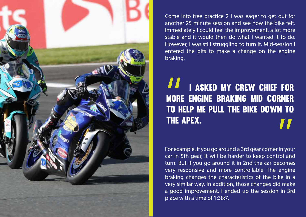

Come into free practice 2 I was eager to get out for another 25 minute session and see how the bike felt. Immediately I could feel the improvement, a lot more stable and it would then do what I wanted it to do. However, I was still struggling to turn it. Mid-session I entered the pits to make a change on the engine braking.

## I asked my crew chief for more engine braking mid corner to help me pull the bike down to the apex.

For example, if you go around a 3rd gear corner in your car in 5th gear, it will be harder to keep control and turn. But if you go around it in 2nd the car becomes very responsive and more controllable. The engine braking changes the characteristics of the bike in a very similar way. In addition, those changes did make a good improvement. I ended up the session in 3rd place with a time of 1:38:7.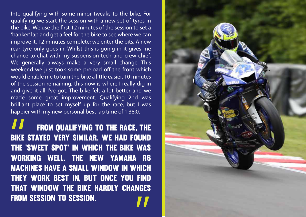Into qualifying with some minor tweaks to the bike. For qualifying we start the session with a new set of tyres in the bike. We use the first 12 minutes of the session to set a 'banker' lap and get a feel for the bike to see where we can improve it. 12 minutes complete; we enter the pits. A new rear tyre only goes in. Whilst this is going in it gives me chance to chat with my suspension tech and crew chief. We generally always make a very small change. This weekend we just took some preload off the front which would enable me to turn the bike a little easier. 10 minutes of the session remaining, this now is where I really dig in and give it all I've got. The bike felt a lot better and we made some great improvement. Qualifying 2nd was brilliant place to set myself up for the race, but I was happier with my new personal best lap time of 1:38:0.

 From qualifying to the race, the bike stayed very similar. We had found the 'sweet spot' in which the bike was working well. The new Yamaha R6 **MACHINES HAVE A SMALL WINDOW IN WHICH** they work best in, but once you find that window the bike hardly changes from session to session.

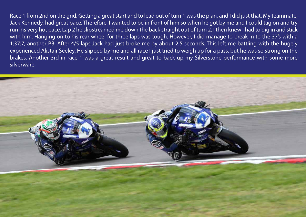Race 1 from 2nd on the grid. Getting a great start and to lead out of turn 1 was the plan, and I did just that. My teammate, Jack Kennedy, had great pace. Therefore, I wanted to be in front of him so when he got by me and I could tag on and try run his very hot pace. Lap 2 he slipstreamed me down the back straight out of turn 2. I then knew I had to dig in and stick with him. Hanging on to his rear wheel for three laps was tough. However, I did manage to break in to the 37's with a 1:37:7, another PB. After 4/5 laps Jack had just broke me by about 2.5 seconds. This left me battling with the hugely experienced Alistair Seeley. He slipped by me and all race I just tried to weigh up for a pass, but he was so strong on the brakes. Another 3rd in race 1 was a great result and great to back up my Silverstone performance with some more silverware.

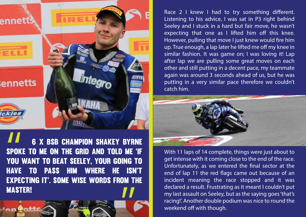

 6 x BSB Champion Shakey Byrne spoke to me on the grid and told me 'if you want to beat Seeley, your going to have to pass him where he isn't expecting it'. Some wise words from the master!

Race  $2 \mid$  knew  $\mid$  had to try something different. Listening to his advice, I was sat in P3 right behind Seeley and I stuck in a hard but fair move, he wasn't expecting that one as I lifted him off this knee. However, pulling that move I just knew would fire him up. True enough, a lap later he lifted me off my knee in similar fashion. It was game on; I was loving it! Lap after lap we are pulling some great moves on each other and still putting in a decent pace, my teammate again was around 3 seconds ahead of us, but he was putting in a very similar pace therefore we couldn't catch him.



With 11 laps of 14 complete, things were just about to get intense with it coming close to the end of the race. Unfortunately, as we entered the final sector at the end of lap 11 the red flags came out because of an incident meaning the race stopped and it was declared a result. Frustrating as it meant I couldn't put my last assault on Seeley, but as the saying goes 'that's racing!'. Another double podium was nice to round the weekend off with though.